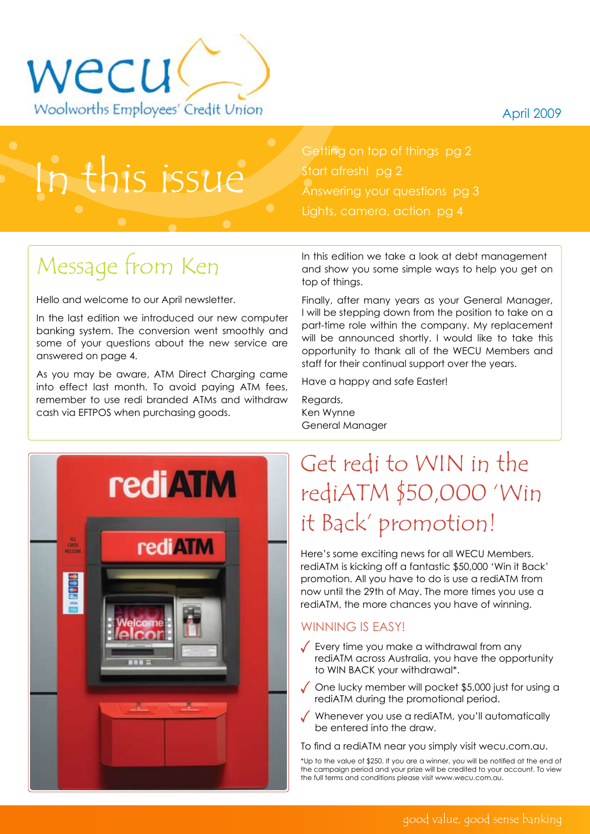April 2009



## In this issue

Getting on top of things pg 2 Start afresh! pg 2 Answering your questions pg 3 Lights, camera, action pg 4

### Message from Ken

Hello and welcome to our April newsletter.

In the last edition we introduced our new computer banking system. The conversion went smoothly and some of your questions about the new service are answered on page 4.

As you may be aware, ATM Direct Charging came into effect last month. To avoid paying ATM fees, remember to use redi branded ATMs and withdraw cash via EFTPOS when purchasing goods.

In this edition we take a look at debt management and show you some simple ways to help you get on top of things.

Finally, after many years as your General Manager, I will be stepping down from the position to take on a part-time role within the company. My replacement will be announced shortly. I would like to take this opportunity to thank all of the WECU Members and staff for their continual support over the years.

Have a happy and safe Easter!

Regards, Ken Wynne General Manager



### Get redi to WIN in the rediATM \$50,000 'Win it Back' promotion!

Here's some exciting news for all WECU Members. rediATM is kicking off a fantastic \$50,000 'Win it Back' promotion. All you have to do is use a rediATM from now until the 29th of May. The more times you use a rediATM, the more chances you have of winning.

### WINNING IS FASY!

- $\sqrt{\ }$  Every time you make a withdrawal from any rediATM across Australia, you have the opportunity to WIN BACK your withdrawal\*.
- $\sqrt{\phantom{a}}$  One lucky member will pocket \$5,000 just for using a rediATM during the promotional period.
- Whenever you use a rediATM, you'll automatically be entered into the draw.

To find a rediATM near you simply visit wecu.com.au.

\*Up to the value of \$250. If you are a winner, you will be notified at the end of the campaign period and your prize will be credited to your account. To view the full terms and conditions please visit www.wecu.com.au.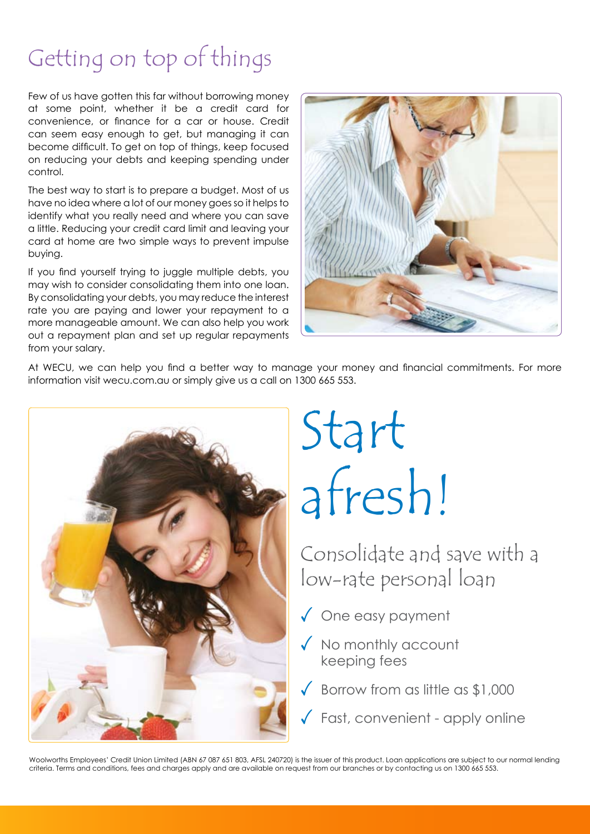### Getting on top of things

Few of us have gotten this far without borrowing money at some point, whether it be a credit card for convenience, or finance for a car or house. Credit can seem easy enough to get, but managing it can become difficult. To get on top of things, keep focused on reducing your debts and keeping spending under control.

The best way to start is to prepare a budget. Most of us have no idea where a lot of our money goes so it helps to identify what you really need and where you can save a little. Reducing your credit card limit and leaving your card at home are two simple ways to prevent impulse buying.

If you find yourself trying to juggle multiple debts, you may wish to consider consolidating them into one loan. By consolidating your debts, you may reduce the interest rate you are paying and lower your repayment to a more manageable amount. We can also help you work out a repayment plan and set up regular repayments from your salary.



At WECU, we can help you find a better way to manage your money and financial commitments. For more information visit wecu.com.au or simply give us a call on 1300 665 553.



# Start afresh!

Consolidate and save with a low-rate personal loan

- ◆ One easy payment
- $\sqrt{\ }$  No monthly account keeping fees
- $\sqrt{}$  Borrow from as little as \$1,000
	- Fast, convenient apply online

Woolworths Employees' Credit Union Limited (ABN 67 087 651 803, AFSL 240720) is the issuer of this product. Loan applications are subject to our normal lending criteria. Terms and conditions, fees and charges apply and are available on request from our branches or by contacting us on 1300 665 553.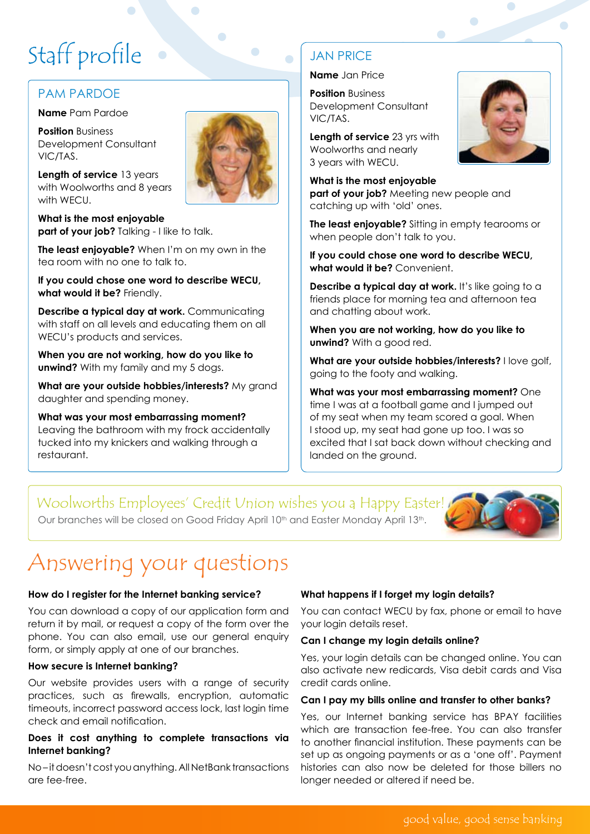## Staff profile

### Pam Pardoe

**Name** Pam Pardoe

**Position** Business Development Consultant VIC/TAS.



**Length of service** 13 years with Woolworths and 8 years with WECU.

**What is the most enjoyable part of your job?** Talking - I like to talk.

**The least enjoyable?** When I'm on my own in the tea room with no one to talk to.

**If you could chose one word to describe WECU, what would it be?** Friendly.

**Describe a typical day at work.** Communicating with staff on all levels and educating them on all WECU's products and services.

**When you are not working, how do you like to unwind?** With my family and my 5 dogs.

**What are your outside hobbies/interests?** My grand daughter and spending money.

**What was your most embarrassing moment?** Leaving the bathroom with my frock accidentally tucked into my knickers and walking through a restaurant.

### **JAN PRICE**

**Name** Jan Price

**Position** Business Development Consultant VIC/TAS.

**Length of service** 23 yrs with Woolworths and nearly 3 years with WECU.

**What is the most enjoyable part of your job?** Meeting new people and catching up with 'old' ones.

**The least enjoyable?** Sitting in empty tearooms or when people don't talk to you.

**If you could chose one word to describe WECU, what would it be?** Convenient.

**Describe a typical day at work.** It's like going to a friends place for morning tea and afternoon tea and chatting about work.

**When you are not working, how do you like to unwind?** With a good red.

**What are your outside hobbies/interests?** I love golf, going to the footy and walking.

**What was your most embarrassing moment?** One time I was at a football game and I jumped out of my seat when my team scored a goal. When I stood up, my seat had gone up too. I was so excited that I sat back down without checking and landed on the ground.

### Woolworths Employees' Credit Union wishes you a Happy Easter!

Our branches will be closed on Good Friday April 10<sup>th</sup> and Easter Monday April 13<sup>th</sup>.



### Answering your questions

#### **How do I register for the Internet banking service?**

You can download a copy of our application form and return it by mail, or request a copy of the form over the phone. You can also email, use our general enquiry form, or simply apply at one of our branches.

#### **How secure is Internet banking?**

Our website provides users with a range of security practices, such as firewalls, encryption, automatic timeouts, incorrect password access lock, last login time check and email notification.

#### **Does it cost anything to complete transactions via Internet banking?**

No – it doesn't cost you anything. All NetBank transactions are fee-free.

#### **What happens if I forget my login details?**

You can contact WECU by fax, phone or email to have your login details reset.

#### **Can I change my login details online?**

Yes, your login details can be changed online. You can also activate new redicards, Visa debit cards and Visa credit cards online.

#### **Can I pay my bills online and transfer to other banks?**

Yes, our Internet banking service has BPAY facilities which are transaction fee-free. You can also transfer to another financial institution. These payments can be set up as ongoing payments or as a 'one off'. Payment histories can also now be deleted for those billers no longer needed or altered if need be.